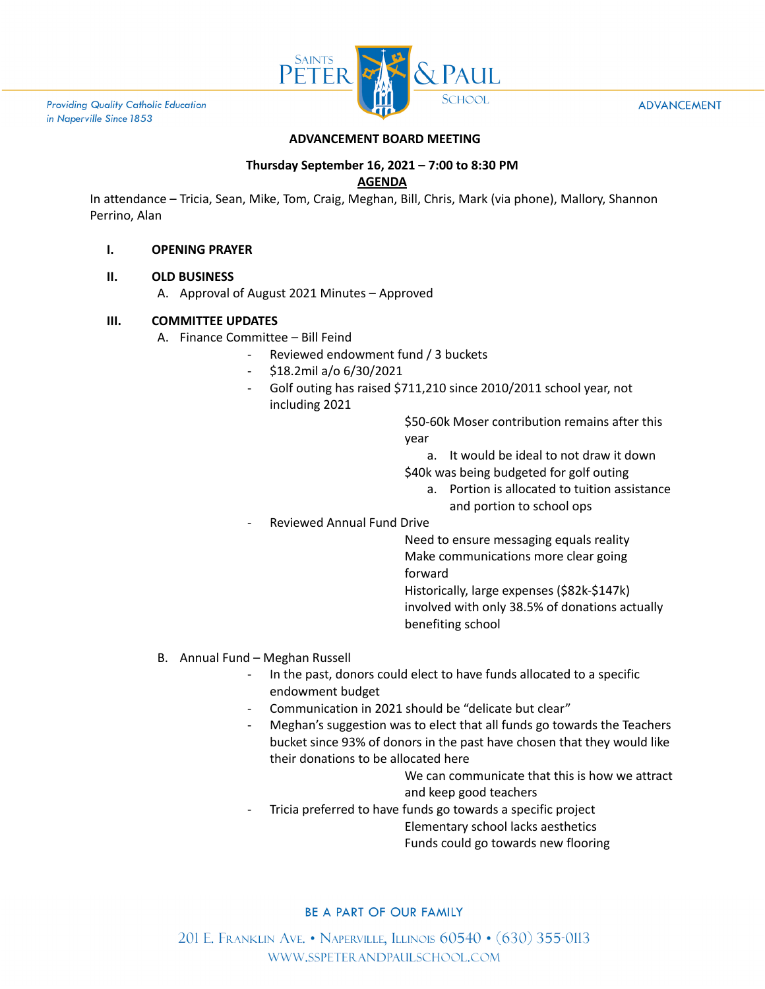

**Providing Quality Catholic Education** in Naperville Since 1853

#### **ADVANCEMENT**

## **ADVANCEMENT BOARD MEETING**

# **Thursday September 16, 2021 – 7:00 to 8:30 PM**

#### **AGENDA**

In attendance – Tricia, Sean, Mike, Tom, Craig, Meghan, Bill, Chris, Mark (via phone), Mallory, Shannon Perrino, Alan

### **I. OPENING PRAYER**

### **II. OLD BUSINESS**

A. Approval of August 2021 Minutes – Approved

## **III. COMMITTEE UPDATES**

- A. Finance Committee Bill Feind
	- Reviewed endowment fund / 3 buckets
	- \$18.2mil a/o 6/30/2021
	- Golf outing has raised \$711,210 since 2010/2011 school year, not including 2021

\$50-60k Moser contribution remains after this year

- a. It would be ideal to not draw it down
- \$40k was being budgeted for golf outing
	- a. Portion is allocated to tuition assistance and portion to school ops
- Reviewed Annual Fund Drive

Need to ensure messaging equals reality Make communications more clear going forward

Historically, large expenses (\$82k-\$147k) involved with only 38.5% of donations actually benefiting school

- B. Annual Fund Meghan Russell
	- In the past, donors could elect to have funds allocated to a specific endowment budget
	- Communication in 2021 should be "delicate but clear"
	- Meghan's suggestion was to elect that all funds go towards the Teachers bucket since 93% of donors in the past have chosen that they would like their donations to be allocated here

We can communicate that this is how we attract and keep good teachers

Tricia preferred to have funds go towards a specific project

Elementary school lacks aesthetics

Funds could go towards new flooring

## BE A PART OF OUR FAMILY

201 E. FRANKLIN AVE. • NAPERVILLE, ILLINOIS 60540 • (630) 355-0113 WWW.SSPETERANDPAULSCHOOL.COM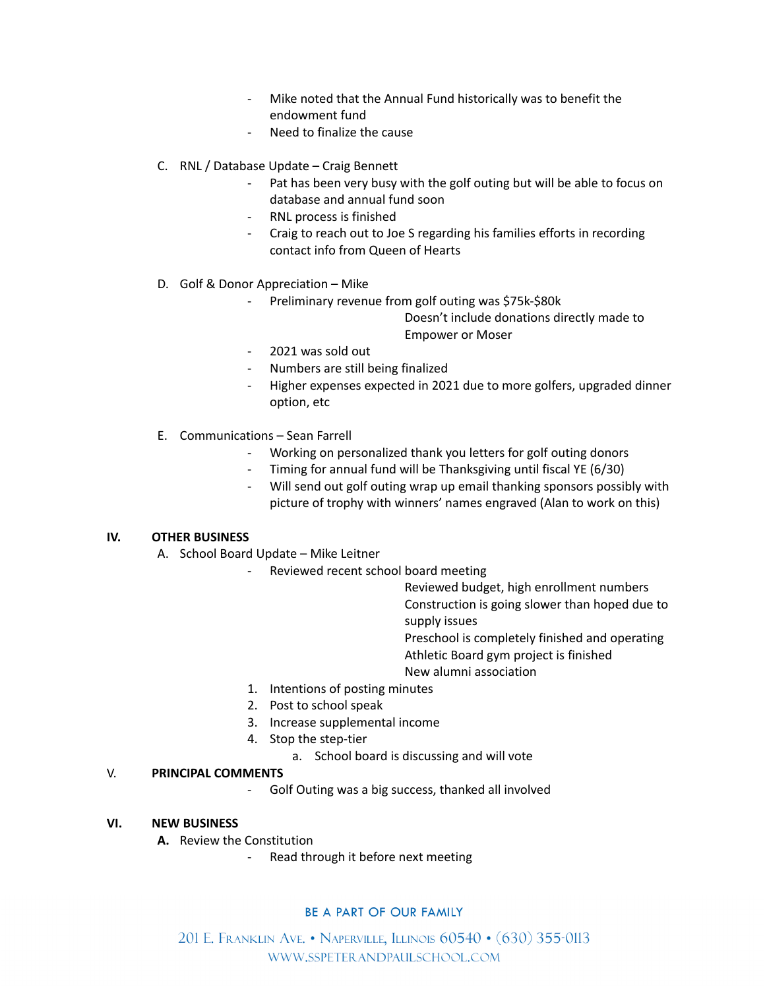- Mike noted that the Annual Fund historically was to benefit the endowment fund
- Need to finalize the cause
- C. RNL / Database Update Craig Bennett
	- Pat has been very busy with the golf outing but will be able to focus on database and annual fund soon
	- RNL process is finished
	- Craig to reach out to Joe S regarding his families efforts in recording contact info from Queen of Hearts
- D. Golf & Donor Appreciation Mike
	- Preliminary revenue from golf outing was \$75k-\$80k

Doesn't include donations directly made to Empower or Moser

- 2021 was sold out
- Numbers are still being finalized
- Higher expenses expected in 2021 due to more golfers, upgraded dinner option, etc
- E. Communications Sean Farrell
	- Working on personalized thank you letters for golf outing donors
	- Timing for annual fund will be Thanksgiving until fiscal YE (6/30)
	- Will send out golf outing wrap up email thanking sponsors possibly with picture of trophy with winners' names engraved (Alan to work on this)

#### **IV. OTHER BUSINESS**

- A. School Board Update Mike Leitner
	- Reviewed recent school board meeting

Reviewed budget, high enrollment numbers Construction is going slower than hoped due to supply issues

Preschool is completely finished and operating Athletic Board gym project is finished

- 
- New alumni association
- 1. Intentions of posting minutes
- 2. Post to school speak
- 3. Increase supplemental income
- 4. Stop the step-tier
	- a. School board is discussing and will vote

#### V. **PRINCIPAL COMMENTS**

Golf Outing was a big success, thanked all involved

# **VI. NEW BUSINESS**

- **A.** Review the Constitution
	- Read through it before next meeting

#### BE A PART OF OUR FAMILY

201 E. Franklin Ave. • Naperville, Illinois 60540 • (630) 355-0113 WWW.SSPETERANDPAULSCHOOL.COM